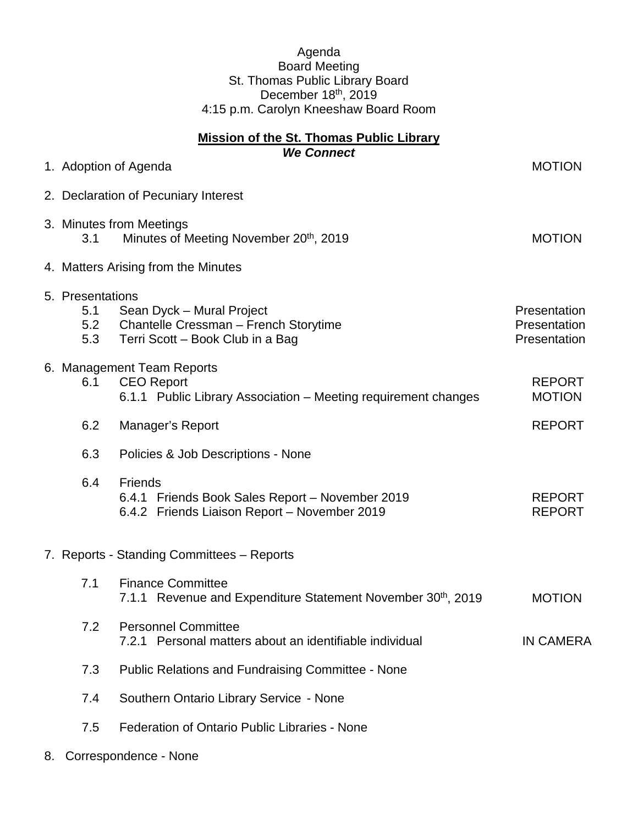## Agenda Board Meeting St. Thomas Public Library Board December 18<sup>th</sup>, 2019 4:15 p.m. Carolyn Kneeshaw Board Room

| <b>Mission of the St. Thomas Public Library</b><br><b>We Connect</b> |                                       |                                                                                                                   |                                              |  |
|----------------------------------------------------------------------|---------------------------------------|-------------------------------------------------------------------------------------------------------------------|----------------------------------------------|--|
|                                                                      |                                       | 1. Adoption of Agenda                                                                                             | <b>MOTION</b>                                |  |
|                                                                      |                                       | 2. Declaration of Pecuniary Interest                                                                              |                                              |  |
|                                                                      | 3.1                                   | 3. Minutes from Meetings<br>Minutes of Meeting November 20 <sup>th</sup> , 2019                                   | <b>MOTION</b>                                |  |
|                                                                      |                                       | 4. Matters Arising from the Minutes                                                                               |                                              |  |
|                                                                      | 5. Presentations<br>5.1<br>5.2<br>5.3 | Sean Dyck - Mural Project<br>Chantelle Cressman - French Storytime<br>Terri Scott - Book Club in a Bag            | Presentation<br>Presentation<br>Presentation |  |
|                                                                      | 6.1                                   | 6. Management Team Reports<br><b>CEO Report</b><br>6.1.1 Public Library Association – Meeting requirement changes | <b>REPORT</b><br><b>MOTION</b>               |  |
|                                                                      | 6.2                                   | Manager's Report                                                                                                  | <b>REPORT</b>                                |  |
|                                                                      | 6.3                                   | Policies & Job Descriptions - None                                                                                |                                              |  |
|                                                                      | 6.4                                   | <b>Friends</b><br>6.4.1 Friends Book Sales Report - November 2019<br>6.4.2 Friends Liaison Report - November 2019 | <b>REPORT</b><br><b>REPORT</b>               |  |
|                                                                      |                                       | 7. Reports - Standing Committees - Reports                                                                        |                                              |  |
|                                                                      | 7.1                                   | <b>Finance Committee</b><br>7.1.1 Revenue and Expenditure Statement November 30 <sup>th</sup> , 2019              | <b>MOTION</b>                                |  |
|                                                                      | 7.2                                   | <b>Personnel Committee</b><br>7.2.1 Personal matters about an identifiable individual                             | <b>IN CAMERA</b>                             |  |
|                                                                      | 7.3                                   | <b>Public Relations and Fundraising Committee - None</b>                                                          |                                              |  |
|                                                                      | 7.4                                   | Southern Ontario Library Service - None                                                                           |                                              |  |
|                                                                      | 7.5                                   | Federation of Ontario Public Libraries - None                                                                     |                                              |  |

8. Correspondence - None